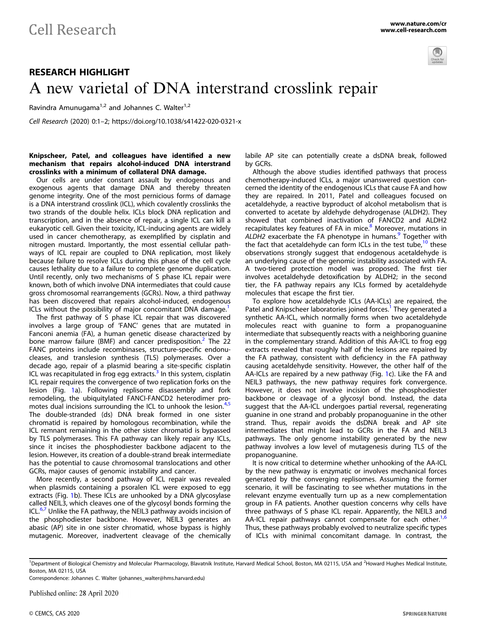

## RESEARCH HIGHLIGHT A new varietal of DNA interstrand crosslink repair

Ravindra Amunugama<sup>1,2</sup> and Johannes C. Walter<sup>1,2</sup>

Cell Research (2020) 0:1–2; https://doi.org/10.1038/s41422-020-0321-x

## Knipscheer, Patel, and colleagues have identified a new mechanism that repairs alcohol-induced DNA interstrand crosslinks with a minimum of collateral DNA damage.

Our cells are under constant assault by endogenous and exogenous agents that damage DNA and thereby threaten genome integrity. One of the most pernicious forms of damage is a DNA interstrand crosslink (ICL), which covalently crosslinks the two strands of the double helix. ICLs block DNA replication and transcription, and in the absence of repair, a single ICL can kill a eukaryotic cell. Given their toxicity, ICL-inducing agents are widely used in cancer chemotherapy, as exemplified by cisplatin and nitrogen mustard. Importantly, the most essential cellular pathways of ICL repair are coupled to DNA replication, most likely because failure to resolve ICLs during this phase of the cell cycle causes lethality due to a failure to complete genome duplication. Until recently, only two mechanisms of S phase ICL repair were known, both of which involve DNA intermediates that could cause gross chromosomal rearrangements (GCRs). Now, a third pathway has been discovered that repairs alcohol-induced, endogenous ICLs without the possibility of major concomitant DNA damage.<sup>[1](#page-1-0)</sup>

The first pathway of S phase ICL repair that was discovered involves a large group of 'FANC' genes that are mutated in Fanconi anemia (FA), a human genetic disease characterized by bone marrow failure (BMF) and cancer predisposition.<sup>[2](#page-1-0)</sup> The 22 FANC proteins include recombinases, structure-specific endonucleases, and translesion synthesis (TLS) polymerases. Over a decade ago, repair of a plasmid bearing a site-specific cisplatin ICL was recapitulated in frog egg extracts.<sup>[3](#page-1-0)</sup> In this system, cisplatin ICL repair requires the convergence of two replication forks on the lesion (Fig. [1](#page-1-0)a). Following replisome disassembly and fork remodeling, the ubiquitylated FANCI-FANCD2 heterodimer pro-motes dual incisions surrounding the ICL to unhook the lesion.<sup>[4](#page-1-0),[5](#page-1-0)</sup> The double-stranded (ds) DNA break formed in one sister chromatid is repaired by homologous recombination, while the ICL remnant remaining in the other sister chromatid is bypassed by TLS polymerases. This FA pathway can likely repair any ICLs, since it incises the phosphodiester backbone adjacent to the lesion. However, its creation of a double-strand break intermediate has the potential to cause chromosomal translocations and other GCRs, major causes of genomic instability and cancer.

More recently, a second pathway of ICL repair was revealed when plasmids containing a psoralen ICL were exposed to egg extracts (Fig. [1](#page-1-0)b). These ICLs are unhooked by a DNA glycosylase called NEIL3, which cleaves one of the glycosyl bonds forming the ICL. $6,7$  $6,7$  $6,7$  Unlike the FA pathway, the NEIL3 pathway avoids incision of the phosphodiester backbone. However, NEIL3 generates an abasic (AP) site in one sister chromatid, whose bypass is highly mutagenic. Moreover, inadvertent cleavage of the chemically labile AP site can potentially create a dsDNA break, followed by GCRs.

Although the above studies identified pathways that process chemotherapy-induced ICLs, a major unanswered question concerned the identity of the endogenous ICLs that cause FA and how they are repaired. In 2011, Patel and colleagues focused on acetaldehyde, a reactive byproduct of alcohol metabolism that is converted to acetate by aldehyde dehydrogenase (ALDH2). They showed that combined inactivation of FANCD2 and ALDH2 recapitulates key features of FA in mice.<sup>[8](#page-1-0)</sup> Moreover, mutations in ALDH2 exacerbate the FA phenotype in humans. $9$  Together with the fact that acetaldehyde can form ICLs in the test tube, $10$  these observations strongly suggest that endogenous acetaldehyde is an underlying cause of the genomic instability associated with FA. A two-tiered protection model was proposed. The first tier involves acetaldehyde detoxification by ALDH2; in the second tier, the FA pathway repairs any ICLs formed by acetaldehyde molecules that escape the first tier.

To explore how acetaldehyde ICLs (AA-ICLs) are repaired, the Patel and Knipscheer laboratories joined forces.<sup>[1](#page-1-0)</sup> They generated a synthetic AA-ICL, which normally forms when two acetaldehyde molecules react with guanine to form a propanoguanine intermediate that subsequently reacts with a neighboring guanine in the complementary strand. Addition of this AA-ICL to frog egg extracts revealed that roughly half of the lesions are repaired by the FA pathway, consistent with deficiency in the FA pathway causing acetaldehyde sensitivity. However, the other half of the AA-ICLs are repaired by a new pathway (Fig. [1c](#page-1-0)). Like the FA and NEIL3 pathways, the new pathway requires fork convergence. However, it does not involve incision of the phosphodiester backbone or cleavage of a glycosyl bond. Instead, the data suggest that the AA-ICL undergoes partial reversal, regenerating guanine in one strand and probably propanoguanine in the other strand. Thus, repair avoids the dsDNA break and AP site intermediates that might lead to GCRs in the FA and NEIL3 pathways. The only genome instability generated by the new pathway involves a low level of mutagenesis during TLS of the propanoguanine.

It is now critical to determine whether unhooking of the AA-ICL by the new pathway is enzymatic or involves mechanical forces generated by the converging replisomes. Assuming the former scenario, it will be fascinating to see whether mutations in the relevant enzyme eventually turn up as a new complementation group in FA patients. Another question concerns why cells have three pathways of S phase ICL repair. Apparently, the NEIL3 and AA-ICL repair pathways cannot compensate for each other. $1,6$  $1,6$  $1,6$ Thus, these pathways probably evolved to neutralize specific types of ICLs with minimal concomitant damage. In contrast, the

Correspondence: Johannes C. Walter [\(johannes\\_walter@hms.harvard.edu](mailto:johannes_walter@hms.harvard.edu))

Published online: 28 April 2020

<sup>&</sup>lt;sup>1</sup>Department of Biological Chemistry and Molecular Pharmacology, Blavatnik Institute, Harvard Medical School, Boston, MA 02115, USA and <sup>2</sup>Howard Hughes Medical Institute, Boston, MA 02115, USA